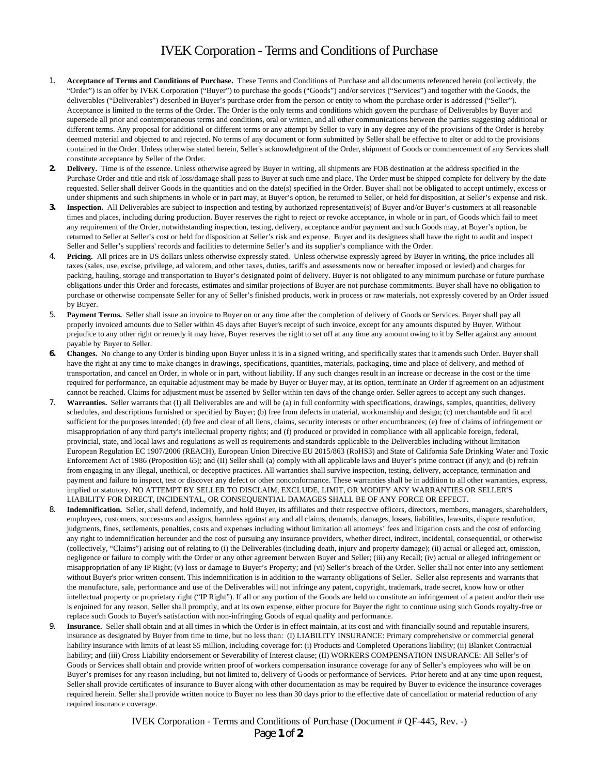## IVEK Corporation - Terms and Conditions of Purchase

- 1. **Acceptance of Terms and Conditions of Purchase.** These Terms and Conditions of Purchase and all documents referenced herein (collectively, the "Order") is an offer by IVEK Corporation ("Buyer") to purchase the goods ("Goods") and/or services ("Services") and together with the Goods, the deliverables ("Deliverables") described in Buyer's purchase order from the person or entity to whom the purchase order is addressed ("Seller"). Acceptance is limited to the terms of the Order. The Order is the only terms and conditions which govern the purchase of Deliverables by Buyer and supersede all prior and contemporaneous terms and conditions, oral or written, and all other communications between the parties suggesting additional or different terms. Any proposal for additional or different terms or any attempt by Seller to vary in any degree any of the provisions of the Order is hereby deemed material and objected to and rejected. No terms of any document or form submitted by Seller shall be effective to alter or add to the provisions contained in the Order. Unless otherwise stated herein, Seller's acknowledgment of the Order, shipment of Goods or commencement of any Services shall constitute acceptance by Seller of the Order.
- **2. Delivery.** Time is of the essence. Unless otherwise agreed by Buyer in writing, all shipments are FOB destination at the address specified in the Purchase Order and title and risk of loss/damage shall pass to Buyer at such time and place. The Order must be shipped complete for delivery by the date requested. Seller shall deliver Goods in the quantities and on the date(s) specified in the Order. Buyer shall not be obligated to accept untimely, excess or under shipments and such shipments in whole or in part may, at Buyer's option, be returned to Seller, or held for disposition, at Seller's expense and risk.
- **3. Inspection.** All Deliverables are subject to inspection and testing by authorized representative(s) of Buyer and/or Buyer's customers at all reasonable times and places, including during production. Buyer reserves the right to reject or revoke acceptance, in whole or in part, of Goods which fail to meet any requirement of the Order, notwithstanding inspection, testing, delivery, acceptance and/or payment and such Goods may, at Buyer's option, be returned to Seller at Seller's cost or held for disposition at Seller's risk and expense. Buyer and its designees shall have the right to audit and inspect Seller and Seller's suppliers' records and facilities to determine Seller's and its supplier's compliance with the Order.
- 4. **Pricing.** All prices are in US dollars unless otherwise expressly stated. Unless otherwise expressly agreed by Buyer in writing, the price includes all taxes (sales, use, excise, privilege, ad valorem, and other taxes, duties, tariffs and assessments now or hereafter imposed or levied) and charges for packing, hauling, storage and transportation to Buyer's designated point of delivery. Buyer is not obligated to any minimum purchase or future purchase obligations under this Order and forecasts, estimates and similar projections of Buyer are not purchase commitments. Buyer shall have no obligation to purchase or otherwise compensate Seller for any of Seller's finished products, work in process or raw materials, not expressly covered by an Order issued by Buyer.
- 5. **Payment Terms.** Seller shall issue an invoice to Buyer on or any time after the completion of delivery of Goods or Services. Buyer shall pay all properly invoiced amounts due to Seller within 45 days after Buyer's receipt of such invoice, except for any amounts disputed by Buyer. Without prejudice to any other right or remedy it may have, Buyer reserves the right to set off at any time any amount owing to it by Seller against any amount payable by Buyer to Seller.
- **6. Changes.** No change to any Order is binding upon Buyer unless it is in a signed writing, and specifically states that it amends such Order. Buyer shall have the right at any time to make changes in drawings, specifications, quantities, materials, packaging, time and place of delivery, and method of transportation, and cancel an Order, in whole or in part, without liability. If any such changes result in an increase or decrease in the cost or the time required for performance, an equitable adjustment may be made by Buyer or Buyer may, at its option, terminate an Order if agreement on an adjustment cannot be reached. Claims for adjustment must be asserted by Seller within ten days of the change order. Seller agrees to accept any such changes.
- 7. **Warranties.** Seller warrants that (I) all Deliverables are and will be (a) in full conformity with specifications, drawings, samples, quantities, delivery schedules, and descriptions furnished or specified by Buyer; (b) free from defects in material, workmanship and design; (c) merchantable and fit and sufficient for the purposes intended; (d) free and clear of all liens, claims, security interests or other encumbrances; (e) free of claims of infringement or misappropriation of any third party's intellectual property rights; and (f) produced or provided in compliance with all applicable foreign, federal, provincial, state, and local laws and regulations as well as requirements and standards applicable to the Deliverables including without limitation European Regulation EC 1907/2006 (REACH), European Union Directive EU 2015/863 (RoHS3) and State of California Safe Drinking Water and Toxic Enforcement Act of 1986 (Proposition 65); and (II) Seller shall (a) comply with all applicable laws and Buyer's prime contract (if any); and (b) refrain from engaging in any illegal, unethical, or deceptive practices. All warranties shall survive inspection, testing, delivery, acceptance, termination and payment and failure to inspect, test or discover any defect or other nonconformance. These warranties shall be in addition to all other warranties, express, implied or statutory. NO ATTEMPT BY SELLER TO DISCLAIM, EXCLUDE, LIMIT, OR MODIFY ANY WARRANTIES OR SELLER'S LIABILITY FOR DIRECT, INCIDENTAL, OR CONSEQUENTIAL DAMAGES SHALL BE OF ANY FORCE OR EFFECT.
- 8. **Indemnification.** Seller, shall defend, indemnify, and hold Buyer, its affiliates and their respective officers, directors, members, managers, shareholders, employees, customers, successors and assigns, harmless against any and all claims, demands, damages, losses, liabilities, lawsuits, dispute resolution, judgments, fines, settlements, penalties, costs and expenses including without limitation all attorneys' fees and litigation costs and the cost of enforcing any right to indemnification hereunder and the cost of pursuing any insurance providers, whether direct, indirect, incidental, consequential, or otherwise (collectively, "Claims") arising out of relating to (i) the Deliverables (including death, injury and property damage); (ii) actual or alleged act, omission, negligence or failure to comply with the Order or any other agreement between Buyer and Seller; (iii) any Recall; (iv) actual or alleged infringement or misappropriation of any IP Right; (v) loss or damage to Buyer's Property; and (vi) Seller's breach of the Order. Seller shall not enter into any settlement without Buyer's prior written consent. This indemnification is in addition to the warranty obligations of Seller. Seller also represents and warrants that the manufacture, sale, performance and use of the Deliverables will not infringe any patent, copyright, trademark, trade secret, know how or other intellectual property or proprietary right ("IP Right"). If all or any portion of the Goods are held to constitute an infringement of a patent and/or their use is enjoined for any reason, Seller shall promptly, and at its own expense, either procure for Buyer the right to continue using such Goods royalty-free or replace such Goods to Buyer's satisfaction with non-infringing Goods of equal quality and performance.
- Insurance. Seller shall obtain and at all times in which the Order is in effect maintain, at its cost and with financially sound and reputable insurers, insurance as designated by Buyer from time to time, but no less than: (I) LIABILITY INSURANCE: Primary comprehensive or commercial general liability insurance with limits of at least \$5 million, including coverage for: (i) Products and Completed Operations liability; (ii) Blanket Contractual liability; and (iii) Cross Liability endorsement or Severability of Interest clause; (II) WORKERS COMPENSATION INSURANCE: All Seller's of Goods or Services shall obtain and provide written proof of workers compensation insurance coverage for any of Seller's employees who will be on Buyer's premises for any reason including, but not limited to, delivery of Goods or performance of Services. Prior hereto and at any time upon request, Seller shall provide certificates of insurance to Buyer along with other documentation as may be required by Buyer to evidence the insurance coverages required herein. Seller shall provide written notice to Buyer no less than 30 days prior to the effective date of cancellation or material reduction of any required insurance coverage.

IVEK Corporation - Terms and Conditions of Purchase (Document # QF-445, Rev. -) Page **1** of **2**